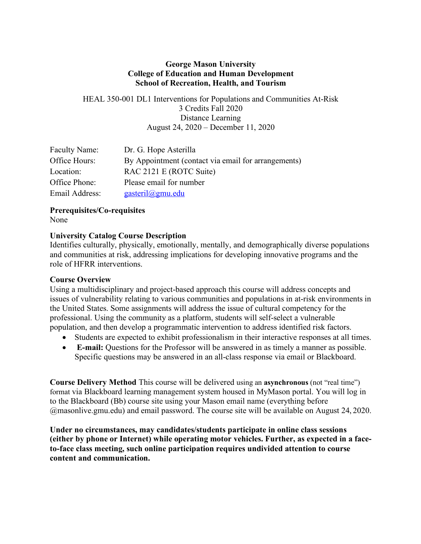### **George Mason University College of Education and Human Development School of Recreation, Health, and Tourism**

HEAL 350-001 DL1 Interventions for Populations and Communities At-Risk 3 Credits Fall 2020 Distance Learning August 24, 2020 – December 11, 2020

| Faculty Name:  | Dr. G. Hope Asterilla                               |
|----------------|-----------------------------------------------------|
| Office Hours:  | By Appointment (contact via email for arrangements) |
| Location:      | RAC 2121 E (ROTC Suite)                             |
| Office Phone:  | Please email for number                             |
| Email Address: | gasteril@gmu.edu                                    |

# **Prerequisites/Co-requisites**

None

## **University Catalog Course Description**

Identifies culturally, physically, emotionally, mentally, and demographically diverse populations and communities at risk, addressing implications for developing innovative programs and the role of HFRR interventions.

## **Course Overview**

Using a multidisciplinary and project-based approach this course will address concepts and issues of vulnerability relating to various communities and populations in at-risk environments in the United States. Some assignments will address the issue of cultural competency for the professional. Using the community as a platform, students will self-select a vulnerable population, and then develop a programmatic intervention to address identified risk factors.

- Students are expected to exhibit professionalism in their interactive responses at all times.
- **E-mail:** Questions for the Professor will be answered in as timely a manner as possible. Specific questions may be answered in an all-class response via email or Blackboard.

**Course Delivery Method** This course will be delivered using an **asynchronous** (not "real time") format via Blackboard learning management system housed in MyMason portal. You will log in to the Blackboard (Bb) course site using your Mason email name (everything before @masonlive.gmu.edu) and email password. The course site will be available on August 24, 2020.

**Under no circumstances, may candidates/students participate in online class sessions (either by phone or Internet) while operating motor vehicles. Further, as expected in a faceto-face class meeting, such online participation requires undivided attention to course content and communication.**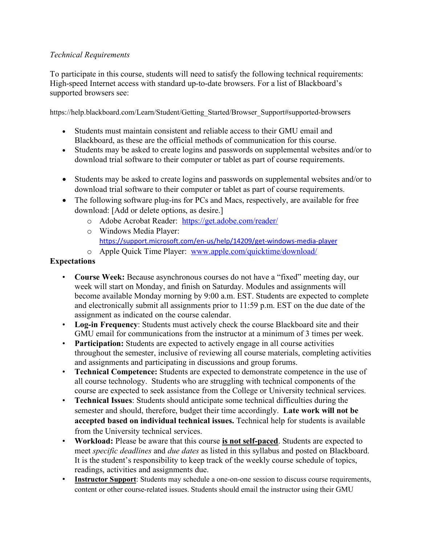# *Technical Requirements*

To participate in this course, students will need to satisfy the following technical requirements: High-speed Internet access with standard up-to-date browsers. For a list of Blackboard's supported browsers see:

https://help.blackboard.com/Learn/Student/Getting\_Started/Browser\_Support#supported-browsers

- Students must maintain consistent and reliable access to their GMU email and Blackboard, as these are the official methods of communication for this course.
- Students may be asked to create logins and passwords on supplemental websites and/or to download trial software to their computer or tablet as part of course requirements.
- Students may be asked to create logins and passwords on supplemental websites and/or to download trial software to their computer or tablet as part of course requirements.
- The following software plug-ins for PCs and Macs, respectively, are available for free download: [Add or delete options, as desire.]
	- o Adobe Acrobat Reader: https://get.adobe.com/reader/
	- o Windows Media Player: https://support.microsoft.com/en-us/help/14209/get-windows-media-player
	- o Apple Quick Time Player: www.apple.com/quicktime/download/

# **Expectations**

- **Course Week:** Because asynchronous courses do not have a "fixed" meeting day, our week will start on Monday, and finish on Saturday. Modules and assignments will become available Monday morning by 9:00 a.m. EST. Students are expected to complete and electronically submit all assignments prior to 11:59 p.m. EST on the due date of the assignment as indicated on the course calendar.
- **Log-in Frequency**: Students must actively check the course Blackboard site and their GMU email for communications from the instructor at a minimum of 3 times per week.
- **Participation:** Students are expected to actively engage in all course activities throughout the semester, inclusive of reviewing all course materials, completing activities and assignments and participating in discussions and group forums.
- **Technical Competence:** Students are expected to demonstrate competence in the use of all course technology. Students who are struggling with technical components of the course are expected to seek assistance from the College or University technical services.
- **Technical Issues**: Students should anticipate some technical difficulties during the semester and should, therefore, budget their time accordingly. **Late work will not be accepted based on individual technical issues.** Technical help for students is available from the University technical services.
- **Workload:** Please be aware that this course **is not self-paced**. Students are expected to meet *specific deadlines* and *due dates* as listed in this syllabus and posted on Blackboard. It is the student's responsibility to keep track of the weekly course schedule of topics, readings, activities and assignments due.
- **Instructor Support**: Students may schedule a one-on-one session to discuss course requirements, content or other course-related issues. Students should email the instructor using their GMU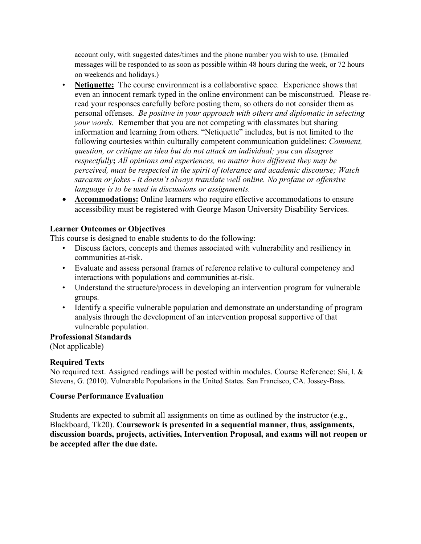account only, with suggested dates/times and the phone number you wish to use. (Emailed messages will be responded to as soon as possible within 48 hours during the week, or 72 hours on weekends and holidays.)

- **Netiquette:** The course environment is a collaborative space. Experience shows that even an innocent remark typed in the online environment can be misconstrued. Please reread your responses carefully before posting them, so others do not consider them as personal offenses. *Be positive in your approach with others and diplomatic in selecting your words*. Remember that you are not competing with classmates but sharing information and learning from others. "Netiquette" includes, but is not limited to the following courtesies within culturally competent communication guidelines: *Comment, question, or critique an idea but do not attack an individual; you can disagree respectfully***;** *All opinions and experiences, no matter how different they may be perceived, must be respected in the spirit of tolerance and academic discourse; Watch sarcasm or jokes - it doesn't always translate well online. No profane or offensive language is to be used in discussions or assignments.*
- **Accommodations:** Online learners who require effective accommodations to ensure accessibility must be registered with George Mason University Disability Services.

## **Learner Outcomes or Objectives**

This course is designed to enable students to do the following:

- Discuss factors, concepts and themes associated with vulnerability and resiliency in communities at-risk.
- Evaluate and assess personal frames of reference relative to cultural competency and interactions with populations and communities at-risk.
- Understand the structure/process in developing an intervention program for vulnerable groups.
- Identify a specific vulnerable population and demonstrate an understanding of program analysis through the development of an intervention proposal supportive of that vulnerable population.

#### **Professional Standards**

(Not applicable)

# **Required Texts**

No required text. Assigned readings will be posted within modules. Course Reference: Shi, l. & Stevens, G. (2010). Vulnerable Populations in the United States. San Francisco, CA. Jossey-Bass.

## **Course Performance Evaluation**

Students are expected to submit all assignments on time as outlined by the instructor (e.g., Blackboard, Tk20). **Coursework is presented in a sequential manner, thus**, **assignments, discussion boards, projects, activities, Intervention Proposal, and exams will not reopen or be accepted after the due date.**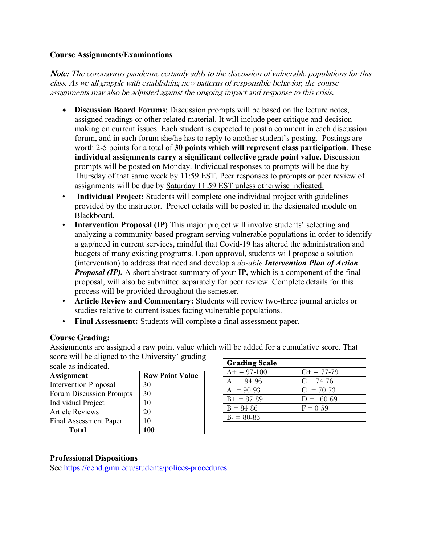### **Course Assignments/Examinations**

Note: The coronavirus pandemic certainly adds to the discussion of vulnerable populations for this class. As we all grapple with establishing new patterns of responsible behavior, the course assignments may also be adjusted against the ongoing impact and response to this crisis.

- **Discussion Board Forums**: Discussion prompts will be based on the lecture notes, assigned readings or other related material. It will include peer critique and decision making on current issues. Each student is expected to post a comment in each discussion forum, and in each forum she/he has to reply to another student's posting. Postings are worth 2-5 points for a total of **30 points which will represent class participation**. **These individual assignments carry a significant collective grade point value.** Discussion prompts will be posted on Monday. Individual responses to prompts will be due by Thursday of that same week by 11:59 EST. Peer responses to prompts or peer review of assignments will be due by Saturday 11:59 EST unless otherwise indicated.
- **Individual Project:** Students will complete one individual project with guidelines provided by the instructor. Project details will be posted in the designated module on Blackboard.
- **Intervention Proposal (IP)** This major project will involve students' selecting and analyzing a community-based program serving vulnerable populations in order to identify a gap/need in current services**,** mindful that Covid-19 has altered the administration and budgets of many existing programs. Upon approval, students will propose a solution (intervention) to address that need and develop a *do-able Intervention Plan of Action Proposal (IP).* A short abstract summary of your **IP,** which is a component of the final proposal, will also be submitted separately for peer review. Complete details for this process will be provided throughout the semester.
- **Article Review and Commentary:** Students will review two-three journal articles or studies relative to current issues facing vulnerable populations.
- **Final Assessment:** Students will complete a final assessment paper.

## **Course Grading:**

Assignments are assigned a raw point value which will be added for a cumulative score. That score will be aligned to the University' grading

| scale as indicated.          |                        |
|------------------------------|------------------------|
| <b>Assignment</b>            | <b>Raw Point Value</b> |
| <b>Intervention Proposal</b> | 30                     |
| Forum Discussion Prompts     | 30                     |
| <b>Individual Project</b>    | 10                     |
| <b>Article Reviews</b>       | 20                     |
| Final Assessment Paper       | 10                     |
| Total                        |                        |

| <b>Grading Scale</b> |                        |
|----------------------|------------------------|
| $A+ = 97-100$        | $C_{\rm{+}} = 77 - 79$ |
| $A = 94-96$          | $C = 74-76$            |
| $A = 90-93$          | $C = 70-73$            |
| $B+ = 87-89$         | $D = 60-69$            |
| $B = 84 - 86$        | $F = 0.59$             |
| $B = 80 - 83$        |                        |

## **Professional Dispositions**

See https://cehd.gmu.edu/students/polices-procedures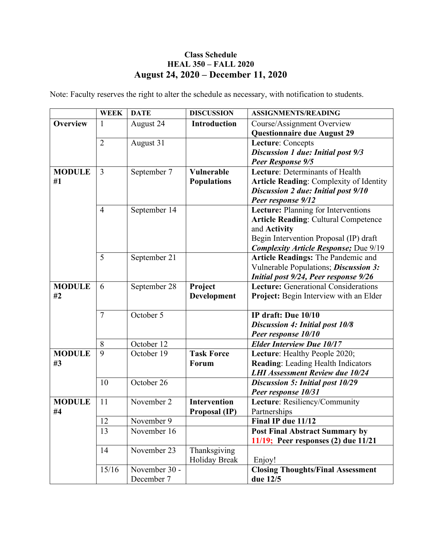# **Class Schedule HEAL 350 – FALL 2020 August 24, 2020 – December 11, 2020**

Note: Faculty reserves the right to alter the schedule as necessary, with notification to students.

|                 | <b>WEEK</b>    | <b>DATE</b>   | <b>DISCUSSION</b>   | <b>ASSIGNMENTS/READING</b>                                                         |
|-----------------|----------------|---------------|---------------------|------------------------------------------------------------------------------------|
| <b>Overview</b> | $\mathbf{1}$   | August 24     | <b>Introduction</b> | Course/Assignment Overview<br><b>Questionnaire due August 29</b>                   |
|                 | $\overline{2}$ | August 31     |                     | Lecture: Concepts                                                                  |
|                 |                |               |                     | <b>Discussion 1 due: Initial post 9/3</b>                                          |
|                 |                |               |                     | Peer Response 9/5                                                                  |
| <b>MODULE</b>   | $\overline{3}$ | September 7   | <b>Vulnerable</b>   | Lecture: Determinants of Health                                                    |
| #1              |                |               | <b>Populations</b>  | <b>Article Reading: Complexity of Identity</b>                                     |
|                 |                |               |                     | <b>Discussion 2 due: Initial post 9/10</b>                                         |
|                 |                |               |                     | Peer response 9/12                                                                 |
|                 | $\overline{4}$ | September 14  |                     | Lecture: Planning for Interventions                                                |
|                 |                |               |                     | <b>Article Reading: Cultural Competence</b>                                        |
|                 |                |               |                     | and <b>Activity</b>                                                                |
|                 |                |               |                     | Begin Intervention Proposal (IP) draft                                             |
|                 | 5              | September 21  |                     | <b>Complexity Article Response; Due 9/19</b><br>Article Readings: The Pandemic and |
|                 |                |               |                     | Vulnerable Populations; Discussion 3:                                              |
|                 |                |               |                     | Initial post 9/24, Peer response 9/26                                              |
| <b>MODULE</b>   | 6              | September 28  | Project             | <b>Lecture:</b> Generational Considerations                                        |
| #2              |                |               | Development         | Project: Begin Interview with an Elder                                             |
|                 |                |               |                     |                                                                                    |
|                 | $\overline{7}$ | October 5     |                     | IP draft: Due 10/10                                                                |
|                 |                |               |                     | <b>Discussion 4: Initial post 10/8</b>                                             |
|                 |                |               |                     | Peer response 10/10                                                                |
|                 | 8              | October 12    |                     | <b>Elder Interview Due 10/17</b>                                                   |
| <b>MODULE</b>   | 9              | October 19    | <b>Task Force</b>   | Lecture: Healthy People 2020;                                                      |
| #3              |                |               | Forum               | <b>Reading:</b> Leading Health Indicators                                          |
|                 |                |               |                     | <b>LHI Assessment Review due 10/24</b>                                             |
|                 | 10             | October 26    |                     | Discussion 5: Initial post 10/29                                                   |
|                 |                |               |                     | Peer response 10/31                                                                |
| <b>MODULE</b>   | 11             | November 2    | <b>Intervention</b> | Lecture: Resiliency/Community                                                      |
| #4              |                |               | Proposal (IP)       | Partnerships                                                                       |
|                 | 12             | November 9    |                     | Final IP due 11/12                                                                 |
|                 | 13             | November 16   |                     | <b>Post Final Abstract Summary by</b>                                              |
|                 |                |               |                     | $11/19$ ; Peer responses (2) due $11/21$                                           |
|                 | 14             | November 23   | Thanksgiving        |                                                                                    |
|                 |                |               | Holiday Break       | Enjoy!                                                                             |
|                 | 15/16          | November 30 - |                     | <b>Closing Thoughts/Final Assessment</b>                                           |
|                 |                | December 7    |                     | due 12/5                                                                           |